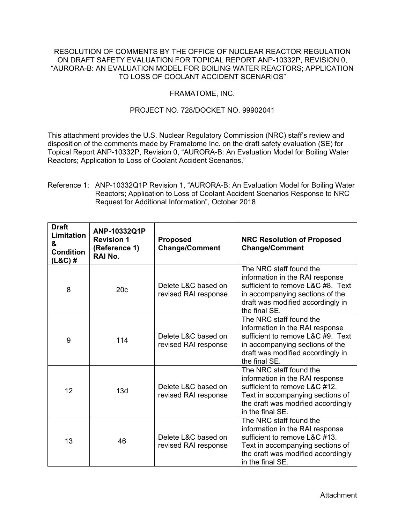## RESOLUTION OF COMMENTS BY THE OFFICE OF NUCLEAR REACTOR REGULATION ON DRAFT SAFETY EVALUATION FOR TOPICAL REPORT ANP-10332P, REVISION 0, "AURORA-B: AN EVALUATION MODEL FOR BOILING WATER REACTORS; APPLICATION TO LOSS OF COOLANT ACCIDENT SCENARIOS"

## FRAMATOME, INC.

## PROJECT NO. 728/DOCKET NO. 99902041

This attachment provides the U.S. Nuclear Regulatory Commission (NRC) staff's review and disposition of the comments made by Framatome Inc. on the draft safety evaluation (SE) for Topical Report ANP-10332P, Revision 0, "AURORA-B: An Evaluation Model for Boiling Water Reactors; Application to Loss of Coolant Accident Scenarios."

## Reference 1: ANP-10332Q1P Revision 1, "AURORA-B: An Evaluation Model for Boiling Water Reactors; Application to Loss of Coolant Accident Scenarios Response to NRC Request for Additional Information", October 2018

| <b>Draft</b><br>Limitation<br>&<br><b>Condition</b><br>$(L&C)$ # | ANP-10332Q1P<br><b>Revision 1</b><br>(Reference 1)<br>RAI No. | <b>Proposed</b><br><b>Change/Comment</b>    | <b>NRC Resolution of Proposed</b><br><b>Change/Comment</b>                                                                                                                                |
|------------------------------------------------------------------|---------------------------------------------------------------|---------------------------------------------|-------------------------------------------------------------------------------------------------------------------------------------------------------------------------------------------|
| 8                                                                | 20c                                                           | Delete L&C based on<br>revised RAI response | The NRC staff found the<br>information in the RAI response<br>sufficient to remove L&C #8. Text<br>in accompanying sections of the<br>draft was modified accordingly in<br>the final SE.  |
| 9                                                                | 114                                                           | Delete L&C based on<br>revised RAI response | The NRC staff found the<br>information in the RAI response<br>sufficient to remove L&C #9. Text<br>in accompanying sections of the<br>draft was modified accordingly in<br>the final SE.  |
| 12                                                               | 13d                                                           | Delete L&C based on<br>revised RAI response | The NRC staff found the<br>information in the RAI response<br>sufficient to remove L&C #12.<br>Text in accompanying sections of<br>the draft was modified accordingly<br>in the final SE. |
| 13                                                               | 46                                                            | Delete L&C based on<br>revised RAI response | The NRC staff found the<br>information in the RAI response<br>sufficient to remove L&C #13.<br>Text in accompanying sections of<br>the draft was modified accordingly<br>in the final SE. |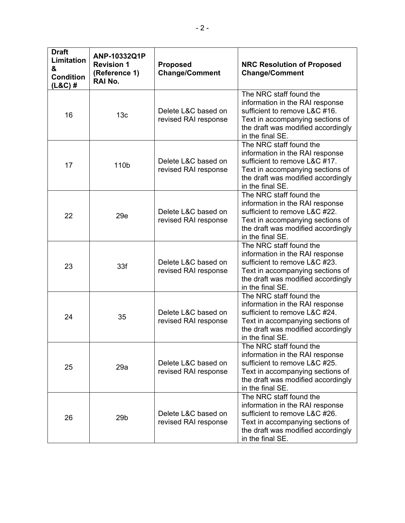| <b>Draft</b><br>Limitation<br>&<br><b>Condition</b><br>$(L&C)$ # | ANP-10332Q1P<br><b>Revision 1</b><br>(Reference 1)<br>RAI No. | <b>Proposed</b><br><b>Change/Comment</b>    | <b>NRC Resolution of Proposed</b><br><b>Change/Comment</b>                                                                                                                                |
|------------------------------------------------------------------|---------------------------------------------------------------|---------------------------------------------|-------------------------------------------------------------------------------------------------------------------------------------------------------------------------------------------|
| 16                                                               | 13 <sub>c</sub>                                               | Delete L&C based on<br>revised RAI response | The NRC staff found the<br>information in the RAI response<br>sufficient to remove L&C #16.<br>Text in accompanying sections of<br>the draft was modified accordingly<br>in the final SE. |
| 17                                                               | 110b                                                          | Delete L&C based on<br>revised RAI response | The NRC staff found the<br>information in the RAI response<br>sufficient to remove L&C #17.<br>Text in accompanying sections of<br>the draft was modified accordingly<br>in the final SE. |
| 22                                                               | 29e                                                           | Delete L&C based on<br>revised RAI response | The NRC staff found the<br>information in the RAI response<br>sufficient to remove L&C #22.<br>Text in accompanying sections of<br>the draft was modified accordingly<br>in the final SE. |
| 23                                                               | 33f                                                           | Delete L&C based on<br>revised RAI response | The NRC staff found the<br>information in the RAI response<br>sufficient to remove L&C #23.<br>Text in accompanying sections of<br>the draft was modified accordingly<br>in the final SE. |
| 24                                                               | 35                                                            | Delete L&C based on<br>revised RAI response | The NRC staff found the<br>information in the RAI response<br>sufficient to remove L&C #24.<br>Text in accompanying sections of<br>the draft was modified accordingly<br>in the final SE. |
| 25                                                               | 29a                                                           | Delete L&C based on<br>revised RAI response | The NRC staff found the<br>information in the RAI response<br>sufficient to remove L&C #25.<br>Text in accompanying sections of<br>the draft was modified accordingly<br>in the final SE. |
| 26                                                               | 29 <sub>b</sub>                                               | Delete L&C based on<br>revised RAI response | The NRC staff found the<br>information in the RAI response<br>sufficient to remove L&C #26.<br>Text in accompanying sections of<br>the draft was modified accordingly<br>in the final SE. |